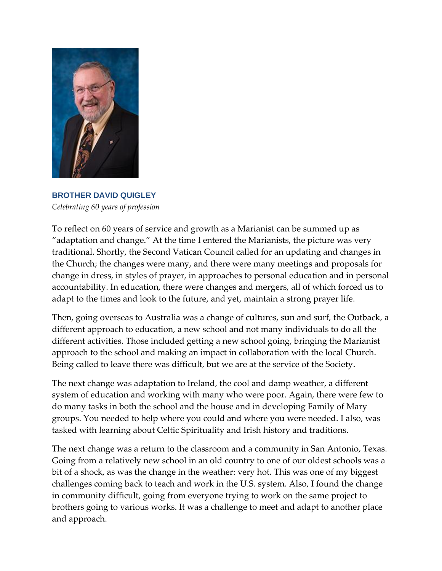

**BROTHER DAVID QUIGLEY** *Celebrating 60 years of profession*

To reflect on 60 years of service and growth as a Marianist can be summed up as "adaptation and change." At the time I entered the Marianists, the picture was very traditional. Shortly, the Second Vatican Council called for an updating and changes in the Church; the changes were many, and there were many meetings and proposals for change in dress, in styles of prayer, in approaches to personal education and in personal accountability. In education, there were changes and mergers, all of which forced us to adapt to the times and look to the future, and yet, maintain a strong prayer life.

Then, going overseas to Australia was a change of cultures, sun and surf, the Outback, a different approach to education, a new school and not many individuals to do all the different activities. Those included getting a new school going, bringing the Marianist approach to the school and making an impact in collaboration with the local Church. Being called to leave there was difficult, but we are at the service of the Society.

The next change was adaptation to Ireland, the cool and damp weather, a different system of education and working with many who were poor. Again, there were few to do many tasks in both the school and the house and in developing Family of Mary groups. You needed to help where you could and where you were needed. I also, was tasked with learning about Celtic Spirituality and Irish history and traditions.

The next change was a return to the classroom and a community in San Antonio, Texas. Going from a relatively new school in an old country to one of our oldest schools was a bit of a shock, as was the change in the weather: very hot. This was one of my biggest challenges coming back to teach and work in the U.S. system. Also, I found the change in community difficult, going from everyone trying to work on the same project to brothers going to various works. It was a challenge to meet and adapt to another place and approach.